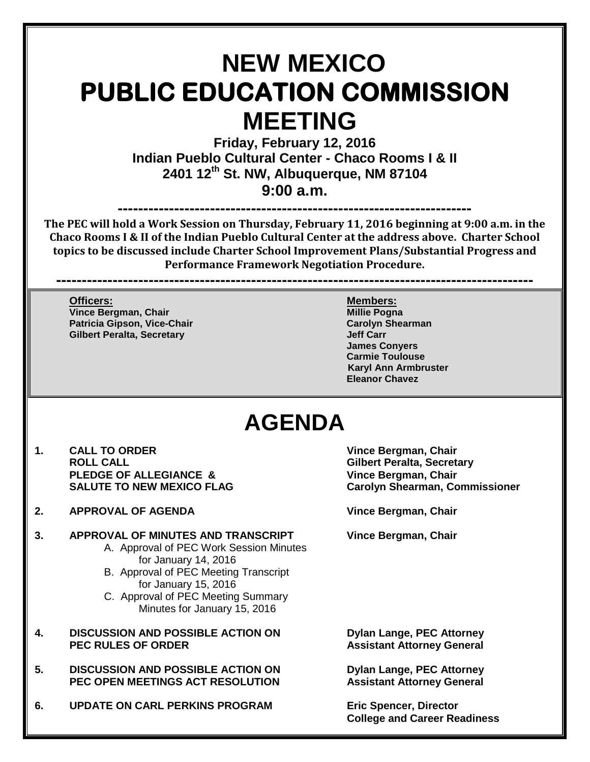# **NEW MEXICO PUBLIC EDUCATION COMMISSION MEETING**

**Friday, February 12, 2016 Indian Pueblo Cultural Center - Chaco Rooms I & II 2401 12th St. NW, Albuquerque, NM 87104 9:00 a.m.**

**---------------------------------------------------------------------**

**The PEC will hold a Work Session on Thursday, February 11, 2016 beginning at 9:00 a.m. in the Chaco Rooms I & II of the Indian Pueblo Cultural Center at the address above. Charter School topics to be discussed include Charter School Improvement Plans/Substantial Progress and Performance Framework Negotiation Procedure.**

**---------------------------------------------------------------------------------------------**

**Officers: Members: Vince Bergman, Chair Millie Pogna**<br> **Patricia Gipson, Vice-Chair Millie Pogna**<br> **Patricia Gipson, Vice-Chair Millie Pogna Patricia Gipson, Vice-Chair Carolyn Shearman Gilbert Peralta, Secretary** 

**James Conyers Carmie Toulouse Karyl Ann Armbruster Eleanor Chavez**

## **AGENDA**

- **1. CALL TO ORDER Vince Bergman, Chair PLEDGE OF ALLEGIANCE & SALUTE TO NEW MEXICO FLAG**
- **2. APPROVAL OF AGENDA Vince Bergman, Chair**

## **3. APPROVAL OF MINUTES AND TRANSCRIPT Vince Bergman, Chair**

- A. Approval of PEC Work Session Minutes for January 14, 2016
- B. Approval of PEC Meeting Transcript for January 15, 2016
- C. Approval of PEC Meeting Summary Minutes for January 15, 2016
- **4. DISCUSSION AND POSSIBLE ACTION ON Dylan Lange, PEC Attorney**
- **5. DISCUSSION AND POSSIBLE ACTION ON Dylan Lange, PEC Attorney PEC OPEN MEETINGS ACT RESOLUTION Assistant Attorney General**
- **6. UPDATE ON CARL PERKINS PROGRAM Eric Spencer, Director**

**Gilbert Peralta, Secretary<br>Vince Bergman, Chair Carolyn Shearman, Commissioner** 

**Assistant Attorney General** 

**College and Career Readiness**